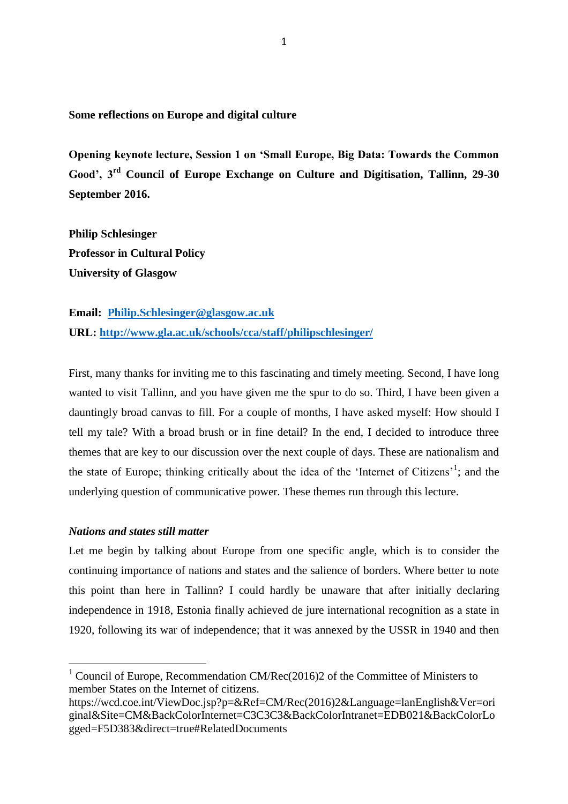**Some reflections on Europe and digital culture** 

**Opening keynote lecture, Session 1 on 'Small Europe, Big Data: Towards the Common Good', 3rd Council of Europe Exchange on Culture and Digitisation, Tallinn, 29-30 September 2016.**

**Philip Schlesinger Professor in Cultural Policy University of Glasgow**

**Email: [Philip.Schlesinger@glasgow.ac.uk](mailto:Philip.Schlesinger@glasgow.ac.uk) URL:<http://www.gla.ac.uk/schools/cca/staff/philipschlesinger/>**

First, many thanks for inviting me to this fascinating and timely meeting. Second, I have long wanted to visit Tallinn, and you have given me the spur to do so. Third, I have been given a dauntingly broad canvas to fill. For a couple of months, I have asked myself: How should I tell my tale? With a broad brush or in fine detail? In the end, I decided to introduce three themes that are key to our discussion over the next couple of days. These are nationalism and the state of Europe; thinking critically about the idea of the 'Internet of Citizens'<sup>1</sup>; and the underlying question of communicative power. These themes run through this lecture.

## *Nations and states still matter*

 $\overline{a}$ 

Let me begin by talking about Europe from one specific angle, which is to consider the continuing importance of nations and states and the salience of borders. Where better to note this point than here in Tallinn? I could hardly be unaware that after initially declaring independence in 1918, Estonia finally achieved de jure international recognition as a state in 1920, following its war of independence; that it was annexed by the USSR in 1940 and then

<sup>&</sup>lt;sup>1</sup> Council of Europe, Recommendation CM/Rec(2016)2 of the Committee of Ministers to member States on the Internet of citizens.

https://wcd.coe.int/ViewDoc.jsp?p=&Ref=CM/Rec(2016)2&Language=lanEnglish&Ver=ori ginal&Site=CM&BackColorInternet=C3C3C3&BackColorIntranet=EDB021&BackColorLo gged=F5D383&direct=true#RelatedDocuments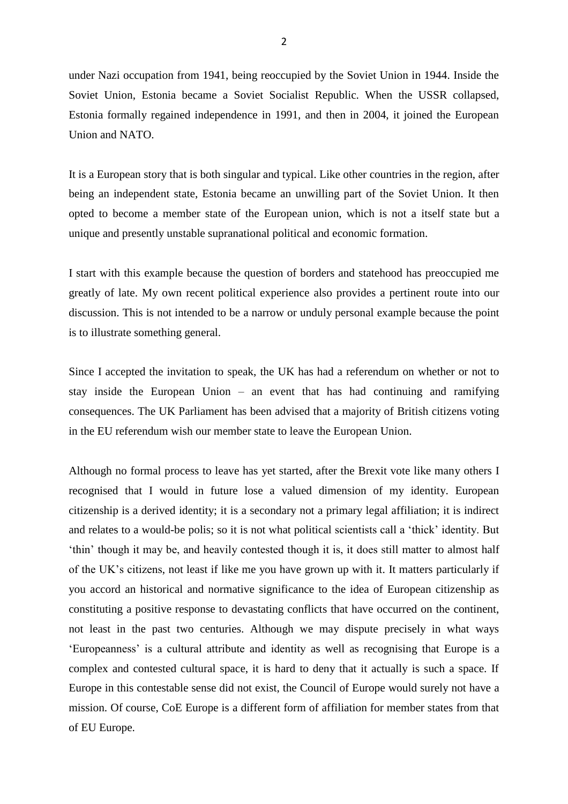under Nazi occupation from 1941, being reoccupied by the Soviet Union in 1944. Inside the Soviet Union, Estonia became a Soviet Socialist Republic. When the USSR collapsed, Estonia formally regained independence in 1991, and then in 2004, it joined the European Union and NATO.

It is a European story that is both singular and typical. Like other countries in the region, after being an independent state, Estonia became an unwilling part of the Soviet Union. It then opted to become a member state of the European union, which is not a itself state but a unique and presently unstable supranational political and economic formation.

I start with this example because the question of borders and statehood has preoccupied me greatly of late. My own recent political experience also provides a pertinent route into our discussion. This is not intended to be a narrow or unduly personal example because the point is to illustrate something general.

Since I accepted the invitation to speak, the UK has had a referendum on whether or not to stay inside the European Union – an event that has had continuing and ramifying consequences. The UK Parliament has been advised that a majority of British citizens voting in the EU referendum wish our member state to leave the European Union.

Although no formal process to leave has yet started, after the Brexit vote like many others I recognised that I would in future lose a valued dimension of my identity. European citizenship is a derived identity; it is a secondary not a primary legal affiliation; it is indirect and relates to a would-be polis; so it is not what political scientists call a 'thick' identity. But 'thin' though it may be, and heavily contested though it is, it does still matter to almost half of the UK's citizens, not least if like me you have grown up with it. It matters particularly if you accord an historical and normative significance to the idea of European citizenship as constituting a positive response to devastating conflicts that have occurred on the continent, not least in the past two centuries. Although we may dispute precisely in what ways 'Europeanness' is a cultural attribute and identity as well as recognising that Europe is a complex and contested cultural space, it is hard to deny that it actually is such a space. If Europe in this contestable sense did not exist, the Council of Europe would surely not have a mission. Of course, CoE Europe is a different form of affiliation for member states from that of EU Europe.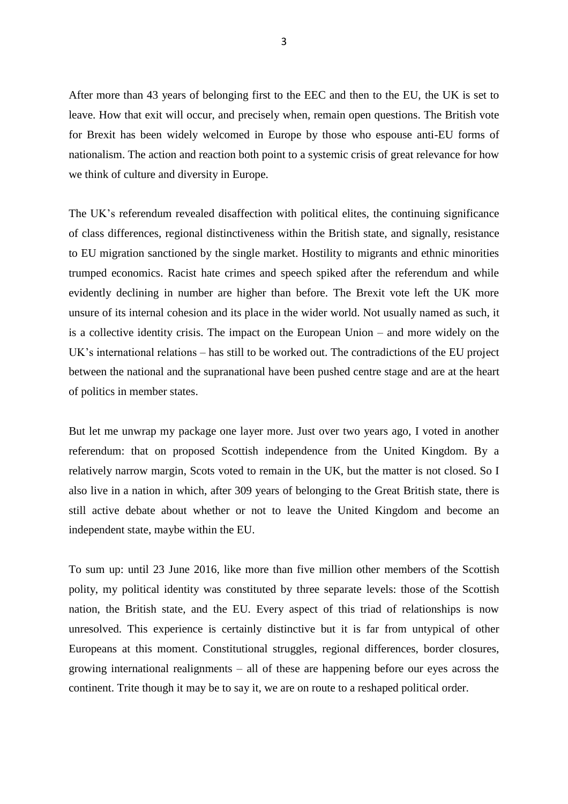After more than 43 years of belonging first to the EEC and then to the EU, the UK is set to leave. How that exit will occur, and precisely when, remain open questions. The British vote for Brexit has been widely welcomed in Europe by those who espouse anti-EU forms of nationalism. The action and reaction both point to a systemic crisis of great relevance for how we think of culture and diversity in Europe.

The UK's referendum revealed disaffection with political elites, the continuing significance of class differences, regional distinctiveness within the British state, and signally, resistance to EU migration sanctioned by the single market. Hostility to migrants and ethnic minorities trumped economics. Racist hate crimes and speech spiked after the referendum and while evidently declining in number are higher than before. The Brexit vote left the UK more unsure of its internal cohesion and its place in the wider world. Not usually named as such, it is a collective identity crisis. The impact on the European Union – and more widely on the UK's international relations – has still to be worked out. The contradictions of the EU project between the national and the supranational have been pushed centre stage and are at the heart of politics in member states.

But let me unwrap my package one layer more. Just over two years ago, I voted in another referendum: that on proposed Scottish independence from the United Kingdom. By a relatively narrow margin, Scots voted to remain in the UK, but the matter is not closed. So I also live in a nation in which, after 309 years of belonging to the Great British state, there is still active debate about whether or not to leave the United Kingdom and become an independent state, maybe within the EU.

To sum up: until 23 June 2016, like more than five million other members of the Scottish polity, my political identity was constituted by three separate levels: those of the Scottish nation, the British state, and the EU. Every aspect of this triad of relationships is now unresolved. This experience is certainly distinctive but it is far from untypical of other Europeans at this moment. Constitutional struggles, regional differences, border closures, growing international realignments – all of these are happening before our eyes across the continent. Trite though it may be to say it, we are on route to a reshaped political order.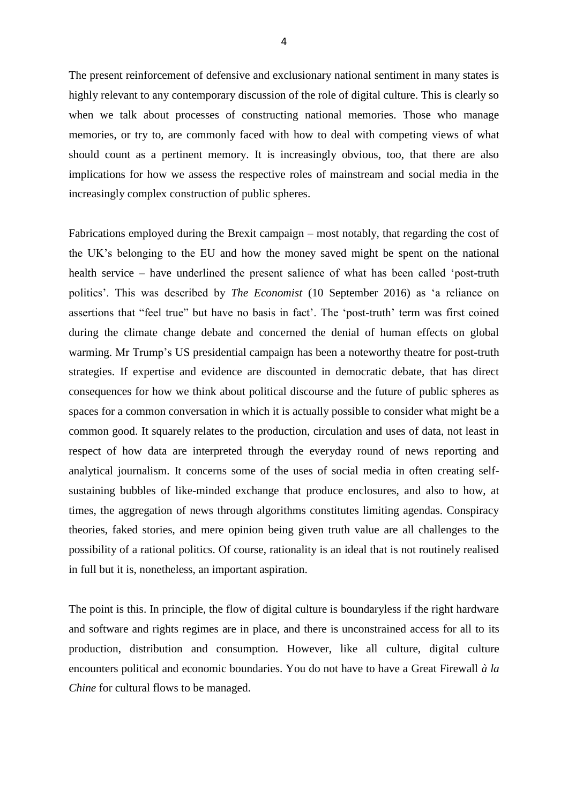The present reinforcement of defensive and exclusionary national sentiment in many states is highly relevant to any contemporary discussion of the role of digital culture. This is clearly so when we talk about processes of constructing national memories. Those who manage memories, or try to, are commonly faced with how to deal with competing views of what should count as a pertinent memory. It is increasingly obvious, too, that there are also implications for how we assess the respective roles of mainstream and social media in the increasingly complex construction of public spheres.

Fabrications employed during the Brexit campaign – most notably, that regarding the cost of the UK's belonging to the EU and how the money saved might be spent on the national health service – have underlined the present salience of what has been called 'post-truth politics'. This was described by *The Economist* (10 September 2016) as 'a reliance on assertions that "feel true" but have no basis in fact'. The 'post-truth' term was first coined during the climate change debate and concerned the denial of human effects on global warming. Mr Trump's US presidential campaign has been a noteworthy theatre for post-truth strategies. If expertise and evidence are discounted in democratic debate, that has direct consequences for how we think about political discourse and the future of public spheres as spaces for a common conversation in which it is actually possible to consider what might be a common good. It squarely relates to the production, circulation and uses of data, not least in respect of how data are interpreted through the everyday round of news reporting and analytical journalism. It concerns some of the uses of social media in often creating selfsustaining bubbles of like-minded exchange that produce enclosures, and also to how, at times, the aggregation of news through algorithms constitutes limiting agendas. Conspiracy theories, faked stories, and mere opinion being given truth value are all challenges to the possibility of a rational politics. Of course, rationality is an ideal that is not routinely realised in full but it is, nonetheless, an important aspiration.

The point is this. In principle, the flow of digital culture is boundaryless if the right hardware and software and rights regimes are in place, and there is unconstrained access for all to its production, distribution and consumption. However, like all culture, digital culture encounters political and economic boundaries. You do not have to have a Great Firewall *à la Chine* for cultural flows to be managed.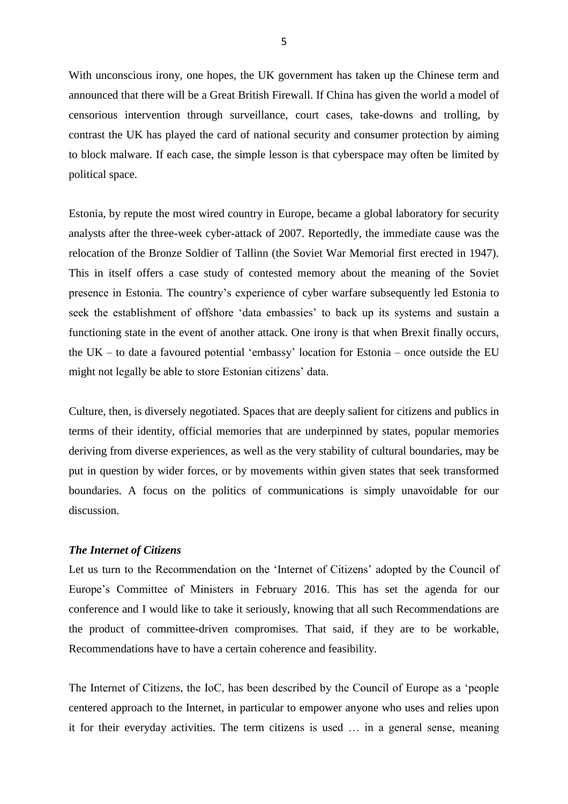With unconscious irony, one hopes, the UK government has taken up the Chinese term and announced that there will be a Great British Firewall. If China has given the world a model of censorious intervention through surveillance, court cases, take-downs and trolling, by contrast the UK has played the card of national security and consumer protection by aiming to block malware. If each case, the simple lesson is that cyberspace may often be limited by political space.

Estonia, by repute the most wired country in Europe, became a global laboratory for security analysts after the three-week cyber-attack of 2007. Reportedly, the immediate cause was the relocation of the Bronze Soldier of Tallinn (the Soviet War Memorial first erected in 1947). This in itself offers a case study of contested memory about the meaning of the Soviet presence in Estonia. The country's experience of cyber warfare subsequently led Estonia to seek the establishment of offshore 'data embassies' to back up its systems and sustain a functioning state in the event of another attack. One irony is that when Brexit finally occurs, the UK – to date a favoured potential 'embassy' location for Estonia – once outside the EU might not legally be able to store Estonian citizens' data.

Culture, then, is diversely negotiated. Spaces that are deeply salient for citizens and publics in terms of their identity, official memories that are underpinned by states, popular memories deriving from diverse experiences, as well as the very stability of cultural boundaries, may be put in question by wider forces, or by movements within given states that seek transformed boundaries. A focus on the politics of communications is simply unavoidable for our discussion.

## *The Internet of Citizens*

Let us turn to the Recommendation on the 'Internet of Citizens' adopted by the Council of Europe's Committee of Ministers in February 2016. This has set the agenda for our conference and I would like to take it seriously, knowing that all such Recommendations are the product of committee-driven compromises. That said, if they are to be workable, Recommendations have to have a certain coherence and feasibility.

The Internet of Citizens, the IoC, has been described by the Council of Europe as a 'people centered approach to the Internet, in particular to empower anyone who uses and relies upon it for their everyday activities. The term citizens is used … in a general sense, meaning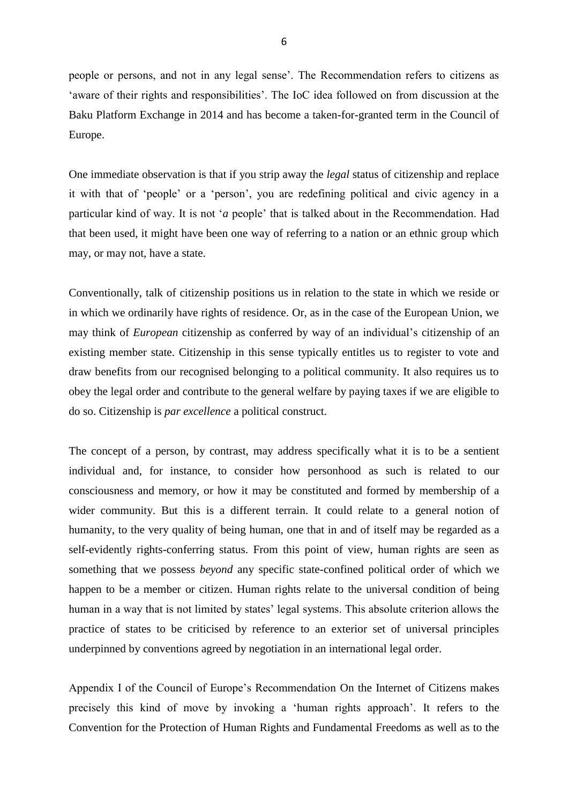people or persons, and not in any legal sense'. The Recommendation refers to citizens as 'aware of their rights and responsibilities'. The IoC idea followed on from discussion at the Baku Platform Exchange in 2014 and has become a taken-for-granted term in the Council of Europe.

One immediate observation is that if you strip away the *legal* status of citizenship and replace it with that of 'people' or a 'person', you are redefining political and civic agency in a particular kind of way. It is not '*a* people' that is talked about in the Recommendation. Had that been used, it might have been one way of referring to a nation or an ethnic group which may, or may not, have a state.

Conventionally, talk of citizenship positions us in relation to the state in which we reside or in which we ordinarily have rights of residence. Or, as in the case of the European Union, we may think of *European* citizenship as conferred by way of an individual's citizenship of an existing member state. Citizenship in this sense typically entitles us to register to vote and draw benefits from our recognised belonging to a political community. It also requires us to obey the legal order and contribute to the general welfare by paying taxes if we are eligible to do so. Citizenship is *par excellence* a political construct.

The concept of a person, by contrast, may address specifically what it is to be a sentient individual and, for instance, to consider how personhood as such is related to our consciousness and memory, or how it may be constituted and formed by membership of a wider community. But this is a different terrain. It could relate to a general notion of humanity, to the very quality of being human, one that in and of itself may be regarded as a self-evidently rights-conferring status. From this point of view, human rights are seen as something that we possess *beyond* any specific state-confined political order of which we happen to be a member or citizen. Human rights relate to the universal condition of being human in a way that is not limited by states' legal systems. This absolute criterion allows the practice of states to be criticised by reference to an exterior set of universal principles underpinned by conventions agreed by negotiation in an international legal order.

Appendix I of the Council of Europe's Recommendation On the Internet of Citizens makes precisely this kind of move by invoking a 'human rights approach'. It refers to the Convention for the Protection of Human Rights and Fundamental Freedoms as well as to the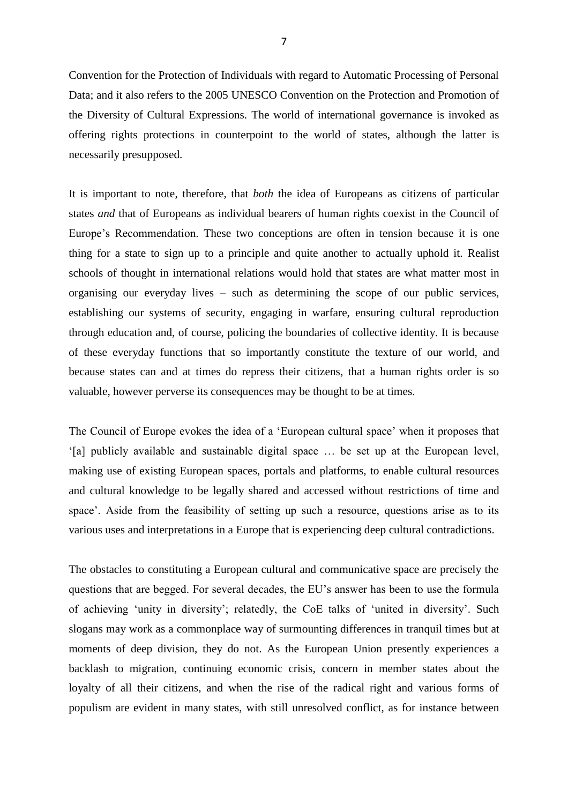Convention for the Protection of Individuals with regard to Automatic Processing of Personal Data; and it also refers to the 2005 UNESCO Convention on the Protection and Promotion of the Diversity of Cultural Expressions. The world of international governance is invoked as offering rights protections in counterpoint to the world of states, although the latter is necessarily presupposed.

It is important to note, therefore, that *both* the idea of Europeans as citizens of particular states *and* that of Europeans as individual bearers of human rights coexist in the Council of Europe's Recommendation. These two conceptions are often in tension because it is one thing for a state to sign up to a principle and quite another to actually uphold it. Realist schools of thought in international relations would hold that states are what matter most in organising our everyday lives – such as determining the scope of our public services, establishing our systems of security, engaging in warfare, ensuring cultural reproduction through education and, of course, policing the boundaries of collective identity. It is because of these everyday functions that so importantly constitute the texture of our world, and because states can and at times do repress their citizens, that a human rights order is so valuable, however perverse its consequences may be thought to be at times.

The Council of Europe evokes the idea of a 'European cultural space' when it proposes that '[a] publicly available and sustainable digital space … be set up at the European level, making use of existing European spaces, portals and platforms, to enable cultural resources and cultural knowledge to be legally shared and accessed without restrictions of time and space'. Aside from the feasibility of setting up such a resource, questions arise as to its various uses and interpretations in a Europe that is experiencing deep cultural contradictions.

The obstacles to constituting a European cultural and communicative space are precisely the questions that are begged. For several decades, the EU's answer has been to use the formula of achieving 'unity in diversity'; relatedly, the CoE talks of 'united in diversity'. Such slogans may work as a commonplace way of surmounting differences in tranquil times but at moments of deep division, they do not. As the European Union presently experiences a backlash to migration, continuing economic crisis, concern in member states about the loyalty of all their citizens, and when the rise of the radical right and various forms of populism are evident in many states, with still unresolved conflict, as for instance between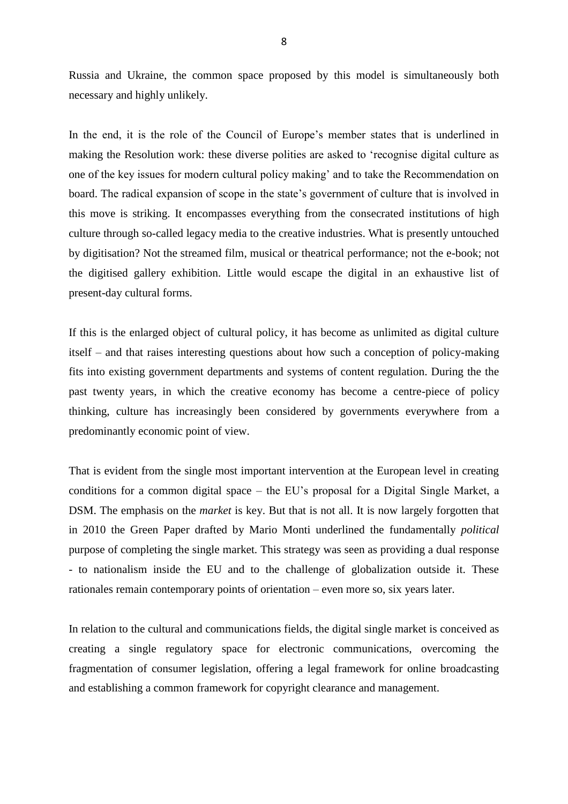Russia and Ukraine, the common space proposed by this model is simultaneously both necessary and highly unlikely.

In the end, it is the role of the Council of Europe's member states that is underlined in making the Resolution work: these diverse polities are asked to 'recognise digital culture as one of the key issues for modern cultural policy making' and to take the Recommendation on board. The radical expansion of scope in the state's government of culture that is involved in this move is striking. It encompasses everything from the consecrated institutions of high culture through so-called legacy media to the creative industries. What is presently untouched by digitisation? Not the streamed film, musical or theatrical performance; not the e-book; not the digitised gallery exhibition. Little would escape the digital in an exhaustive list of present-day cultural forms.

If this is the enlarged object of cultural policy, it has become as unlimited as digital culture itself – and that raises interesting questions about how such a conception of policy-making fits into existing government departments and systems of content regulation. During the the past twenty years, in which the creative economy has become a centre-piece of policy thinking, culture has increasingly been considered by governments everywhere from a predominantly economic point of view.

That is evident from the single most important intervention at the European level in creating conditions for a common digital space – the EU's proposal for a Digital Single Market, a DSM. The emphasis on the *market* is key. But that is not all. It is now largely forgotten that in 2010 the Green Paper drafted by Mario Monti underlined the fundamentally *political* purpose of completing the single market. This strategy was seen as providing a dual response - to nationalism inside the EU and to the challenge of globalization outside it. These rationales remain contemporary points of orientation – even more so, six years later.

In relation to the cultural and communications fields, the digital single market is conceived as creating a single regulatory space for electronic communications, overcoming the fragmentation of consumer legislation, offering a legal framework for online broadcasting and establishing a common framework for copyright clearance and management.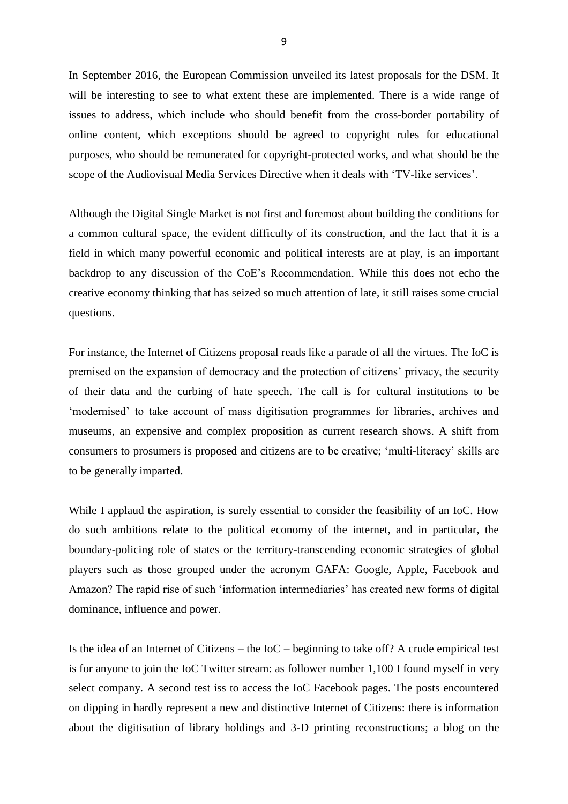In September 2016, the European Commission unveiled its latest proposals for the DSM. It will be interesting to see to what extent these are implemented. There is a wide range of issues to address, which include who should benefit from the cross-border portability of online content, which exceptions should be agreed to copyright rules for educational purposes, who should be remunerated for copyright-protected works, and what should be the scope of the Audiovisual Media Services Directive when it deals with 'TV-like services'.

Although the Digital Single Market is not first and foremost about building the conditions for a common cultural space, the evident difficulty of its construction, and the fact that it is a field in which many powerful economic and political interests are at play, is an important backdrop to any discussion of the CoE's Recommendation. While this does not echo the creative economy thinking that has seized so much attention of late, it still raises some crucial questions.

For instance, the Internet of Citizens proposal reads like a parade of all the virtues. The IoC is premised on the expansion of democracy and the protection of citizens' privacy, the security of their data and the curbing of hate speech. The call is for cultural institutions to be 'modernised' to take account of mass digitisation programmes for libraries, archives and museums, an expensive and complex proposition as current research shows. A shift from consumers to prosumers is proposed and citizens are to be creative; 'multi-literacy' skills are to be generally imparted.

While I applaud the aspiration, is surely essential to consider the feasibility of an IoC. How do such ambitions relate to the political economy of the internet, and in particular, the boundary-policing role of states or the territory-transcending economic strategies of global players such as those grouped under the acronym GAFA: Google, Apple, Facebook and Amazon? The rapid rise of such 'information intermediaries' has created new forms of digital dominance, influence and power.

Is the idea of an Internet of Citizens – the IoC – beginning to take off? A crude empirical test is for anyone to join the IoC Twitter stream: as follower number 1,100 I found myself in very select company. A second test iss to access the IoC Facebook pages. The posts encountered on dipping in hardly represent a new and distinctive Internet of Citizens: there is information about the digitisation of library holdings and 3-D printing reconstructions; a blog on the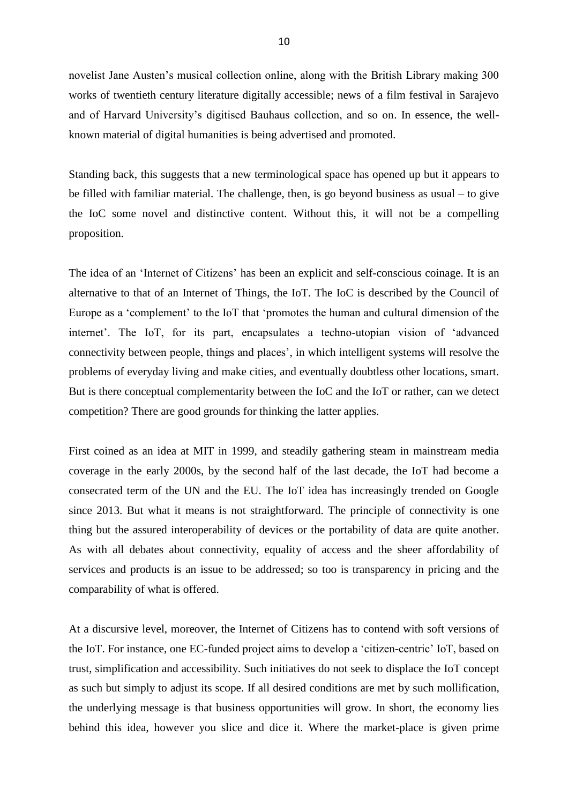novelist Jane Austen's musical collection online, along with the British Library making 300 works of twentieth century literature digitally accessible; news of a film festival in Sarajevo and of Harvard University's digitised Bauhaus collection, and so on. In essence, the wellknown material of digital humanities is being advertised and promoted.

Standing back, this suggests that a new terminological space has opened up but it appears to be filled with familiar material. The challenge, then, is go beyond business as usual – to give the IoC some novel and distinctive content. Without this, it will not be a compelling proposition.

The idea of an 'Internet of Citizens' has been an explicit and self-conscious coinage. It is an alternative to that of an Internet of Things, the IoT. The IoC is described by the Council of Europe as a 'complement' to the IoT that 'promotes the human and cultural dimension of the internet'. The IoT, for its part, encapsulates a techno-utopian vision of 'advanced connectivity between people, things and places', in which intelligent systems will resolve the problems of everyday living and make cities, and eventually doubtless other locations, smart. But is there conceptual complementarity between the IoC and the IoT or rather, can we detect competition? There are good grounds for thinking the latter applies.

First coined as an idea at MIT in 1999, and steadily gathering steam in mainstream media coverage in the early 2000s, by the second half of the last decade, the IoT had become a consecrated term of the UN and the EU. The IoT idea has increasingly trended on Google since 2013. But what it means is not straightforward. The principle of connectivity is one thing but the assured interoperability of devices or the portability of data are quite another. As with all debates about connectivity, equality of access and the sheer affordability of services and products is an issue to be addressed; so too is transparency in pricing and the comparability of what is offered.

At a discursive level, moreover, the Internet of Citizens has to contend with soft versions of the IoT. For instance, one EC-funded project aims to develop a 'citizen-centric' IoT, based on trust, simplification and accessibility. Such initiatives do not seek to displace the IoT concept as such but simply to adjust its scope. If all desired conditions are met by such mollification, the underlying message is that business opportunities will grow. In short, the economy lies behind this idea, however you slice and dice it. Where the market-place is given prime